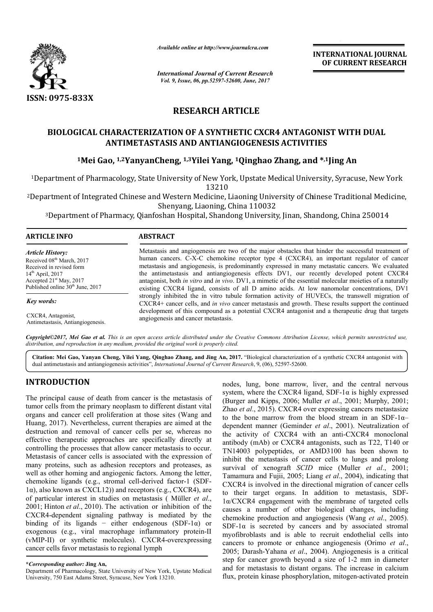

*Available online at http://www.journalcra.com*

*International Journal of Current Research Vol. 9, Issue, 06, pp.52597-52600, June, 2017*

**INTERNATIONAL JOURNAL OF CURRENT RESEARCH** 

# **RESEARCH ARTICLE**

# **BIOLOGICAL CHARACTERIZATION OF A SYNTHETIC CXCR4 ANTAGONIST WITH DUAL ANTIMETASTASIS AND ANTIANGIOGENESIS ACTIVITIES** BIOLOGICAL CHARACTERIZATION OF A SYNTHETIC CXCR4 ANTAGONIST WITH<br>ANTIMETASTASIS AND ANTIANGIOGENESIS ACTIVITIES<br><sup>1</sup>Mei Gao, <sup>1,2</sup>YanyanCheng, <sup>1,3</sup>Yilei Yang, <sup>1</sup>Qinghao Zhang, and \*<sup>,1</sup>Jing An

1Department of Pharmacology, State University of New York, Upstate Medical University, Department 13210 Department Medical Syracuse, New York

<sup>2</sup>Department of Integrated Chinese and Western Medicine, Liaoning University of Chinese Traditional Medicine, Shenyang, Liaoning, China 110032

3Department of Pharmacy, Qianfoshan Hospital, Shandong University, Jinan, Shandong, China 250014

### **ARTICLE INFO ABSTRACT**

*Article History:* Received 08<sup>th</sup> March, 2017 Received in revised form 14th April, 2017 Accepted 21<sup>st</sup> May, 2017 Published online 30<sup>th</sup> June, 2017

*Key words:*

CXCR4, Antagonist, Antimetastasis, Antiangiogenesis. Metastasis and angiogenesis are two of the major obstacles that hinder the successful treatment of human cancers. C-X-C chemokine receptor type 4 (CXCR4), an important regulator of cancer Metastasis and angiogenesis are two of the major obstacles that hinder the successful treatment of human cancers. C-X-C chemokine receptor type 4 (CXCR4), an important regulator of cancer metastasis and angiogenesis, is pr the antimetastasis and antiangiogenesis effects DV1, our recently developed potent CXCR4 antagonist, both *in vitro* and *in vivo*. DV1, a mimetic of the essential molecular moieties of a naturally existing CXCR4 ligand, consists of all D amino acids. At low nanomolar concentrations, DV1 strongly inhibited the in vitro tubule formation activity of HUVECs, the transwell migration of CXCR4+ cancer cells, and *in vivo* cancer metastasis and growth. development of this compound as a potential CXCR4 antagonist and a therapeutic drug that targets angiogenesis and cancer metastasis. antagonist, both *in vitro* and *in vivo*. DV1, a mimetic of the essential molecular moieties of a naturally existing CXCR4 ligand, consists of all D amino acids. At low nanomolar concentrations, DV1 strongly inhibited the

Copyright©2017, Mei Gao et al. This is an open access article distributed under the Creative Commons Attribution License, which permits unrestricted use, *distribution, and reproduction in any medium, provided the original work is properly cited.*

Citation: Mei Gao, Yanyan Cheng, Yilei Yang, Qinghao Zhang, and Jing An, 2017. "Biological characterization of a synthetic CXCR4 antagonist with dual antimetastasis and antiangiogenesis activities", *International Journal of Current Research* , 9, (06), 52597-52600.

# **INTRODUCTION**

The principal cause of death from cancer is the metastasis of tumor cells from the primary neoplasm to different distant vital organs and cancer cell proliferation at those sites (Wang and Huang, 2017). Nevertheless, current therapies are aimed at the destruction and removal of cancer cells per se, whereas no effective therapeutic approaches are specifically directly at controlling the processes that allow cancer metastasis to occur. Metastasis of cancer cells is associated with the expression of many proteins, such as adhesion receptors and proteases, as well as other homing and angiogenic factors. Among the letter, well as other homing and angiogenic factors. Among the letter, chemokine ligands (e.g., stromal cell-derived factor-1 (SDF-1α), also known as CXCL12)) and receptors (e.g., CXCR4), are of particular interest in studies on metastasis ( Müller *et al*., 2001; Hinton *et al*., 2010). The activation or inhibition of the CXCR4-dependent signaling pathway is mediated by the  $CXCR4$ -dependent signaling pathway is mediated by the binding of its ligands – either endogenous (SDF-1 $\alpha$ ) or exogenous (e.g., viral macrophage inflammatory protein-II (vMIP-II) or synthetic molecules). CXCR4-overexpressing cancer cells favor metastasis to regional lymph

nodes, lung, bone marrow, liver, and the central nervous nodes, lung, bone marrow, liver, and the central nervous system, where the CXCR4 ligand, SDF-1 $\alpha$  is highly expressed (Burger and Kipps, 2006; Muller *et al*., 2001; Murphy, 2001; Zhao et al., 2015). CXCR4 over expressing cancers metastasize to the bone marrow from the blood stream in an SDF-1 $\alpha$ – dependent manner (Geminder *et al*., 2001). Neutralization of the activity of CXCR4 with an anti-CXCR4 monoclonal antibody (mAb) or CXCR4 antagonists, such as T22, T140 or antibody (mAb) or CXCR4 antagonists, such as T22, T140 or TN14003 polypeptides, or AMD3100 has been shown to inhibit the metastasis of cancer cells to lungs and prolong inhibit the metastasis of cancer cells to lungs and prolong survival of xenograft *SCID* mice (Muller *et al.*, 2001; Tamamura and Fujii, 2005; Liang *et al*., 2004), indicating that CXCR4 is involved in the directional migration of cancer cells to their target organs. In addition to metastasis, SDF-1α/CXCR4 engagement with the membrane of targeted cells causes a number of other biological changes, including chemokine production and angiogenesis (Wang *et al.*, 2005). SDF-1 $\alpha$  is secreted by cancers and by associated stromal myofibroblasts and is able to recruit endothelial cells into SDF-1 $\alpha$  is secreted by cancers and by associated stromal myofibroblasts and is able to recruit endothelial cells into cancers to promote or enhance angiogenesis (Orimo *et al.*, 2005; Darash-Yahana *et al*., 2004 2004). Angiogenesis is a critical step for cancer growth beyond a size of 1-2 mm in diameter and for metastasis to distant organs. The increase in calcium and for metastasis to distant organs. The increase in calcium<br>flux, protein kinase phosphorylation, mitogen-activated protein engagement with the membrane of targeted cells<br>number of other biological changes, including<br>production and angiogenesis (Wang *et al.*, 2005).

**<sup>\*</sup>***Corresponding author:* **Jing An,**

Department of Pharmacology, State University of New York, Upstate Medical University, 750 East Adams Street, Syracuse, New York 13210.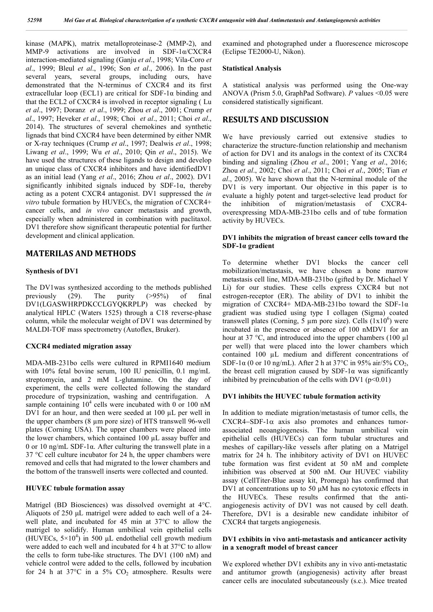kinase (MAPK), matrix metalloproteinase-2 (MMP-2), and MMP-9 activations are involved in SDF-1α/CXCR4 interaction-mediated signaling (Ganju *et al*., 1998; Vila-Coro *et al*., 1999; Bleul *et al*., 1996; Son *et al*., 2006). In the past several years, several groups, including ours, have demonstrated that the N-terminus of CXCR4 and its first extracellular loop (ECL1) are critical for SDF-1 $\alpha$  binding and that the ECL2 of CXCR4 is involved in receptor signaling ( Lu *et al*., 1997; Doranz *et al*., 1999; Zhou *et al*., 2001; Crump *et al*., 1997; Heveker *et al*., 1998; Choi *et al*., 2011; Choi *et al*., 2014). The structures of several chemokines and synthetic lignads that bind CXCR4 have been determined by either NMR or X-ray techniques (Crump *et al*., 1997; Dealwis *et al*., 1998; Liwang *et al*., 1999; Wu *et al*., 2010; Qin *et al*., 2015). We have used the structures of these ligands to design and develop an unique class of CXCR4 inhibitors and have identifiedDV1 as an initial lead (Yang *et al*., 2016; Zhou *et al*., 2002). DV1 significantly inhibited signals induced by SDF-1α, thereby acting as a potent CXCR4 antagonist. DV1 suppressed the *in vitro* tubule formation by HUVECs, the migration of CXCR4+ cancer cells, and *in vivo* cancer metastasis and growth, especially when administered in combination with paclitaxol. DV1 therefore show significant therapeutic potential for further development and clinical application.

# **MATERILAS AND METHODS**

#### **Synthesis of DV1**

The DV1was synthesized according to the methods published previously (29). The purity (>95%) of final DV1(LGASWHRPDKCCLGYQKRPLP) was checked by analytical HPLC (Waters 1525) through a C18 reverse-phase column, while the molecular weight of DV1 was determined by MALDI-TOF mass spectrometry (Autoflex, Bruker).

#### **CXCR4 mediated migration assay**

MDA-MB-231bo cells were cultured in RPMI1640 medium with 10% fetal bovine serum, 100 IU penicillin, 0.1 mg/mL streptomycin, and 2 mM L-glutamine. On the day of experiment, the cells were collected following the standard procedure of trypsinization, washing and centrifugation. A sample containing  $10^4$  cells were incubated with 0 or 100 nM DV1 for an hour, and then were seeded at 100 µL per well in the upper chambers (8 µm pore size) of HTS transwell 96-well plates (Corning USA). The upper chambers were placed into the lower chambers, which contained 100 µL assay buffer and 0 or 10 ng/mL SDF-1 $\alpha$ . After culturing the transwell plate in a 37 °C cell culture incubator for 24 h, the upper chambers were removed and cells that had migrated to the lower chambers and the bottom of the transwell inserts were collected and counted.

#### **HUVEC tubule formation assay**

Matrigel (BD Biosciences) was dissolved overnight at 4°C. Aliquots of 250 μL matrigel were added to each well of a 24 well plate, and incubated for 45 min at 37°C to allow the matrigel to solidify. Human umbilical vein epithelial cells (HUVECs,  $5 \times 10^4$ ) in 500 µL endothelial cell growth medium were added to each well and incubated for 4 h at 37°C to allow the cells to form tube-like structures. The DV1 (100 nM) and vehicle control were added to the cells, followed by incubation for 24 h at 37 $\degree$ C in a 5% CO<sub>2</sub> atmosphere. Results were

examined and photographed under a fluorescence microscope (Eclipse TE2000-U, Nikon).

#### **Statistical Analysis**

A statistical analysis was performed using the One-way ANOVA (Prism 5.0, GraphPad Software). *P* values <0.05 were considered statistically significant.

### **RESULTS AND DISCUSSION**

We have previously carried out extensive studies to characterize the structure-function relationship and mechanism of action for DV1 and its analogs in the context of its CXCR4 binding and signaling (Zhou *et al*., 2001; Yang *et al*., 2016; Zhou *et al*., 2002; Choi *et al*., 2011; Choi *et al*., 2005; Tian *et al*., 2005). We have shown that the N-terminal module of the DV1 is very important. Our objective in this paper is to evaluate a highly potent and target-selective lead product for the inhibition of migration/metastasis of CXCR4 overexpressing MDA-MB-231bo cells and of tube formation activity by HUVECs.

### **DV1 inhibits the migration of breast cancer cells toward the SDF-1α gradient**

To determine whether DV1 blocks the cancer cell mobilization/metastasis, we have chosen a bone marrow metastasis cell line, MDA-MB-231bo (gifted by Dr. Michael Y Li) for our studies. These cells express CXCR4 but not estrogen-receptor (ER). The ability of DV1 to inhibit the migration of CXCR4+ MDA-MB-231bo toward the SDF-1α gradient was studied using type I collagen (Sigma) coated transwell plates (Corning, 5  $\mu$ m pore size). Cells (1x10<sup>6</sup>) were incubated in the presence or absence of 100 nMDV1 for an hour at 37 °C, and introduced into the upper chambers (100 µl per well) that were placed into the lower chambers which contained 100 µL medium and different concentrations of SDF-1 $\alpha$  (0 or 10 ng/mL). After 2 h at 37 $\degree$ C in 95% air/5% CO<sub>2</sub>, the breast cell migration caused by  $SDF-1\alpha$  was significantly inhibited by preincubation of the cells with DV1 ( $p<0.01$ )

#### **DV1 inhibits the HUVEC tubule formation activity**

In addition to mediate migration/metastasis of tumor cells, the  $CXCRA-SDF-1\alpha$  axis also promotes and enhances tumorassociated neoangiogenesis. The human umbilical vein epithelial cells (HUVECs) can form tubular structures and meshes of capillary-like vessels after plating on a Matrigel matrix for 24 h. The inhibitory activity of DV1 on HUVEC tube formation was first evident at 50 nM and complete inhibition was observed at 500 nM. Our HUVEC viability assay (CellTiter-Blue assay kit, Promega) has confirmed that DV1 at concentrations up to 50 μM has no cytotoxic effects in the HUVECs. These results confirmed that the antiangiogenesis activity of DV1 was not caused by cell death. Therefore, DV1 is a desirable new candidate inhibitor of CXCR4 that targets angiogenesis.

#### **DV1 exhibits in vivo anti-metastasis and anticancer activity in a xenograft model of breast cancer**

We explored whether DV1 exhibits any in vivo anti-metastatic and antitumor growth (angiogenesis) activity after breast cancer cells are inoculated subcutaneously (s.c.). Mice treated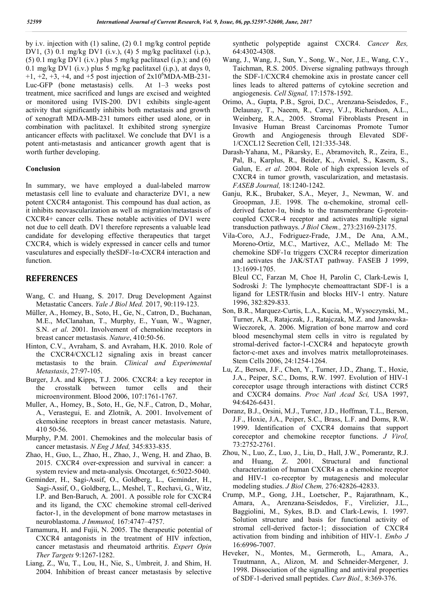by i.v. injection with (1) saline, (2) 0.1 mg/kg control peptide DV1, (3) 0.1 mg/kg DV1 (i.v.), (4) 5 mg/kg paclitaxel (i.p.), (5) 0.1 mg/kg DV1 (i.v.) plus 5 mg/kg paclitaxel (i.p.); and (6) 0.1 mg/kg DV1 (i.v.) plus 5 mg/kg paclitaxel (i.p.), at days 0,  $+1, +2, +3, +4,$  and  $+5$  post injection of  $2x10^6$ MDA-MB-231-Luc-GFP (bone metastasis) cells. At 1–3 weeks post treatment, mice sacrificed and lungs are excised and weighted or monitored using IVIS-200. DV1 exhibits single-agent activity that significantly inhibits both metastasis and growth of xenograft MDA-MB-231 tumors either used alone, or in combination with paclitaxel. It exhibited strong synergize anticancer effects with paclitaxel. We conclude that DV1 is a potent anti-metastasis and anticancer growth agent that is worth further developing.

#### **Conclusion**

In summary, we have employed a dual-labeled marrow metastasis cell line to evaluate and characterize DV1, a new potent CXCR4 antagonist. This compound has dual action, as it inhibits neovascularization as well as migration/metastasis of CXCR4+ cancer cells. These notable activities of DV1 were not due to cell death. DV1 therefore represents a valuable lead candidate for developing effective therapeutics that target CXCR4, which is widely expressed in cancer cells and tumor vasculatures and especially theSDF-1α-CXCR4 interaction and function.

## **REFERENCES**

- Wang, C. and Huang, S. 2017. Drug Development Against Metastatic Cancers. *Yale J Biol Med.* 2017, 90:119-123.
- Müller, A., Homey, B., Soto, H., Ge, N., Catron, D., Buchanan, M.E., McClanahan, T., Murphy, E., Yuan, W., Wagner, S.N. *et al*. 2001. Involvement of chemokine receptors in breast cancer metastasis. *Nature*, 410:50-56.
- Hinton, C.V., Avraham, S. and Avraham, H.K. 2010. Role of the CXCR4/CXCL12 signaling axis in breast cancer metastasis to the brain. *Clinical and Experimental Metastasis*, 27:97-105.
- Burger, J.A. and Kipps, T.J. 2006. CXCR4: a key receptor in the crosstalk between tumor cells and their microenvironment. Blood 2006, 107:1761-1767.
- Muller, A., Homey, B., Soto, H., Ge, N.F., Catron, D., Mohar, A., Verastegui, E. and Zlotnik, A. 2001. Involvement of ckemokine receptors in breast cancer metastasis. Nature, 410 50-56.
- Murphy, P.M. 2001. Chemokines and the molecular basis of cancer metastasis. *N Eng J Med,* 345:833-835.
- Zhao, H., Guo, L., Zhao, H., Zhao, J., Weng, H. and Zhao, B. 2015. CXCR4 over-expression and survival in cancer: a system review and meta-analysis. Oncotarget, 6:5022-5040.
- Geminder, H., Sagi-Assif, O., Goldberg, L., Geminder, H., Sagi-Assif, O., Goldberg, L., Meshel, T., Rechavi, G., Witz, I.P. and Ben-Baruch, A. 2001. A possible role for CXCR4 and its ligand, the CXC chemokine stromal cell-derived factor-1, in the development of bone marrow metastases in neuroblastoma. *J Immunol,* 167:4747–4757.
- Tamamura, H. and Fujii, N. 2005. The therapeutic potential of CXCR4 antagonists in the treatment of HIV infection, cancer metastasis and rheumatoid arthritis. *Expert Opin Ther Targets* 9:1267-1282.
- Liang, Z., Wu, T., Lou, H., Nie, S., Umbreit, J. and Shim, H. 2004. Inhibition of breast cancer metastasis by selective

synthetic polypeptide against CXCR4. *Cancer Res,* 64:4302-4308.

- Wang, J., Wang, J., Sun, Y., Song, W., Nor, J.E., Wang, C.Y., Taichman, R.S. 2005. Diverse signaling pathways through the SDF-1/CXCR4 chemokine axis in prostate cancer cell lines leads to altered patterns of cytokine secretion and angiogenesis. *Cell Signal,* 17:1578-1592.
- Orimo, A., Gupta, P.B., Sgroi, D.C., Arenzana-Seisdedos, F., Delaunay, T., Naeem, R., Carey, V.J., Richardson, A.L., Weinberg, R.A., 2005. Stromal Fibroblasts Present in Invasive Human Breast Carcinomas Promote Tumor Growth and Angiogenesis through Elevated SDF-1/CXCL12 Secretion Cell, 121:335-348.
- Darash-Yahana, M., Pikarsky, E., Abramovitch, R., Zeira, E., Pal, B., Karplus, R., Beider, K., Avniel, S., Kasem, S., Galun, E. *et al*. 2004. Role of high expression levels of CXCR4 in tumor growth, vascularization, and metastasis. *FASEB Journal,* 18:1240-1242.
- Ganju, R.K., Brubaker, S.A., Meyer, J., Newman, W. and Groopman, J.E. 1998. The α-chemokine, stromal cellderived factor-1α, binds to the transmembrane G-proteincoupled CXCR-4 receptor and activates multiple signal transduction pathways. *J Biol Chem.,* 273:23169-23175.
- Vila-Coro, A.J., Fodriguez-Frade, J.M., De Ana, A.M., Moreno-Ortiz, M.C., Martivez, A.C., Mellado M: The chemokine SDF-1α triggers CXCR4 receptor dimerization and activates the JAK/STAT pathway. FASEB J 1999, 13:1699-1705.

Bleul CC, Farzan M, Choe H, Parolin C, Clark-Lewis I, Sodroski J: The lymphocyte chemoattractant SDF-1 is a ligand for LESTR/fusin and blocks HIV-1 entry. Nature 1996, 382:829-833.

- Son, B.R., Marquez-Curtis, L.A., Kucia, M., Wysoczynski, M., Turner, A.R., Ratajczak, J., Ratajczak, M.Z. and Janowska-Wieczorek, A. 2006. Migration of bone marrow and cord blood mesenchymal stem cells in vitro is regulated by stromal-derived factor-1-CXCR4 and hepatocyte growth factor-c-met axes and involves matrix metalloproteinases. Stem Cells 2006, 24:1254-1264.
- Lu, Z., Berson, J.F., Chen, Y., Turner, J.D., Zhang, T., Hoxie, J.A., Peiper, S.C., Doms, R.W. 1997. Evolution of HIV-1 coreceptor usage through interactions with distinct CCR5 and CXCR4 domains. *Proc Natl Acad Sci,* USA 1997, 94:6426-6431.
- Doranz, B.J., Orsini, M.J., Turner, J.D., Hoffman, T.L., Berson, J.F., Hoxie, J.A., Peiper, S.C., Brass, L.F. and Doms, R.W. 1999. Identification of CXCR4 domains that support coreceptor and chemokine receptor functions. *J Virol,* 73:2752-2761.
- Zhou, N., Luo, Z., Luo, J., Liu, D., Hall, J.W., Pomerantz, R.J. and Huang, Z. 2001. Structural and functional characterization of human CXCR4 as a chemokine receptor and HIV-1 co-receptor by mutagenesis and molecular modeling studies. *J Biol Chem,* 276:42826-42833.
- Crump, M.P., Gong, J.H., Loetscher, P., Rajarathnam, K., Amara, A., Arenzana-Seisdedos, F., Virelizier, J.L., Baggiolini, M., Sykes, B.D. and Clark-Lewis, I. 1997. Solution structure and basis for functional activity of stromal cell-derived factor-1; dissociation of CXCR4 activation from binding and inhibition of HIV-1. *Embo J* 16:6996-7007.
- Heveker, N., Montes, M., Germeroth, L., Amara, A., Trautmann, A., Alizon, M. and Schneider-Mergener, J. 1998. Dissociation of the signalling and antiviral properties of SDF-1-derived small peptides. *Curr Biol.,* 8:369-376.